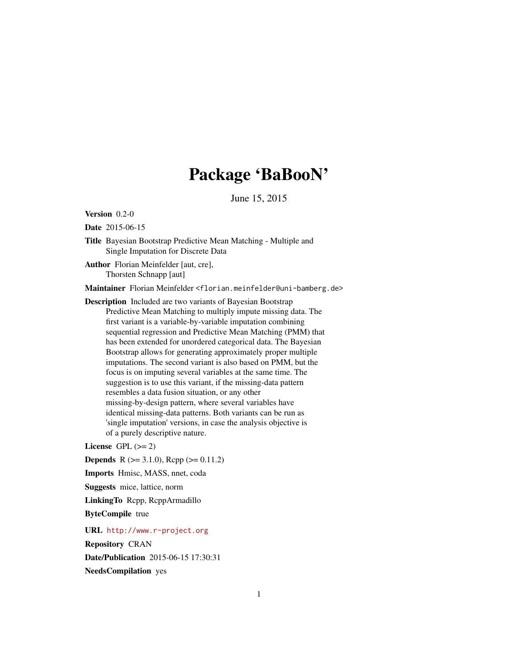## Package 'BaBooN'

June 15, 2015

<span id="page-0-0"></span>Version 0.2-0

Date 2015-06-15

Title Bayesian Bootstrap Predictive Mean Matching - Multiple and Single Imputation for Discrete Data

Author Florian Meinfelder [aut, cre], Thorsten Schnapp [aut]

Maintainer Florian Meinfelder <florian.meinfelder@uni-bamberg.de>

Description Included are two variants of Bayesian Bootstrap Predictive Mean Matching to multiply impute missing data. The first variant is a variable-by-variable imputation combining sequential regression and Predictive Mean Matching (PMM) that has been extended for unordered categorical data. The Bayesian Bootstrap allows for generating approximately proper multiple imputations. The second variant is also based on PMM, but the focus is on imputing several variables at the same time. The suggestion is to use this variant, if the missing-data pattern resembles a data fusion situation, or any other missing-by-design pattern, where several variables have identical missing-data patterns. Both variants can be run as 'single imputation' versions, in case the analysis objective is of a purely descriptive nature.

License GPL  $(>= 2)$ 

**Depends** R ( $>= 3.1.0$ ), Rcpp ( $>= 0.11.2$ )

Imports Hmisc, MASS, nnet, coda

Suggests mice, lattice, norm

LinkingTo Rcpp, RcppArmadillo

ByteCompile true

URL <http://www.r-project.org>

Repository CRAN Date/Publication 2015-06-15 17:30:31 NeedsCompilation yes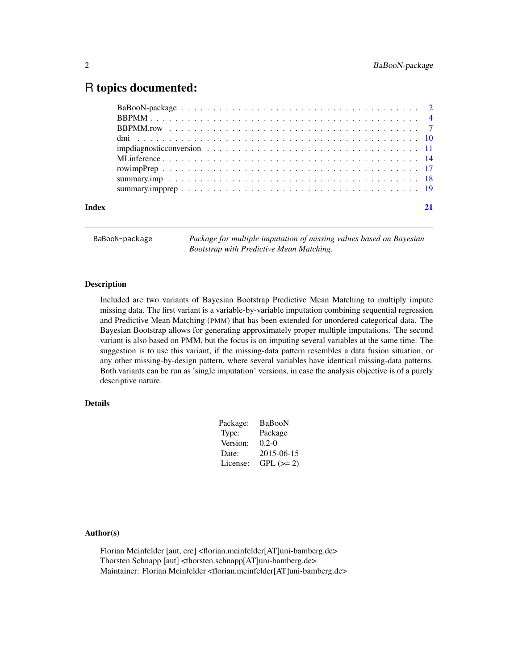### <span id="page-1-0"></span>R topics documented:

| Index |  |  |  |  |  |  |  |  |  |  |  |  |  |  |  |
|-------|--|--|--|--|--|--|--|--|--|--|--|--|--|--|--|
|       |  |  |  |  |  |  |  |  |  |  |  |  |  |  |  |

BaBooN-package *Package for multiple imputation of missing values based on Bayesian Bootstrap with Predictive Mean Matching.*

#### Description

Included are two variants of Bayesian Bootstrap Predictive Mean Matching to multiply impute missing data. The first variant is a variable-by-variable imputation combining sequential regression and Predictive Mean Matching (PMM) that has been extended for unordered categorical data. The Bayesian Bootstrap allows for generating approximately proper multiple imputations. The second variant is also based on PMM, but the focus is on imputing several variables at the same time. The suggestion is to use this variant, if the missing-data pattern resembles a data fusion situation, or any other missing-by-design pattern, where several variables have identical missing-data patterns. Both variants can be run as 'single imputation' versions, in case the analysis objective is of a purely descriptive nature.

#### Details

| Package: | BaBooN     |
|----------|------------|
| Type:    | Package    |
| Version: | $0.2 - 0$  |
| Date:    | 2015-06-15 |
| License: | $GPL (=2)$ |
|          |            |

#### Author(s)

Florian Meinfelder [aut, cre] <florian.meinfelder[AT]uni-bamberg.de> Thorsten Schnapp [aut] <thorsten.schnapp[AT]uni-bamberg.de> Maintainer: Florian Meinfelder <florian.meinfelder[AT]uni-bamberg.de>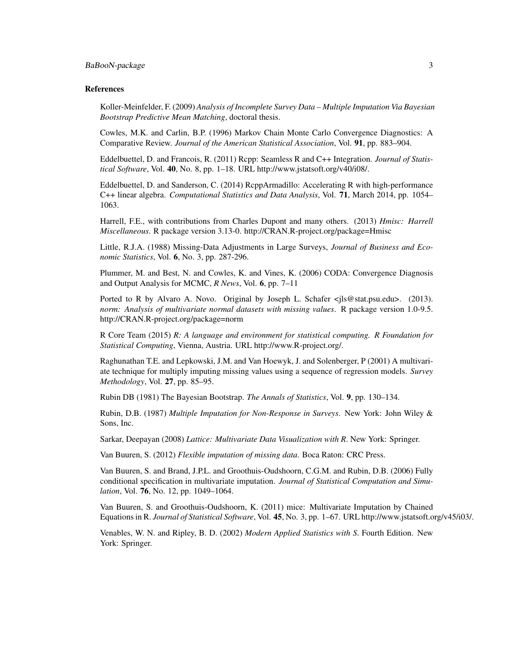#### BaBooN-package 3

#### References

Koller-Meinfelder, F. (2009) *Analysis of Incomplete Survey Data – Multiple Imputation Via Bayesian Bootstrap Predictive Mean Matching*, doctoral thesis.

Cowles, M.K. and Carlin, B.P. (1996) Markov Chain Monte Carlo Convergence Diagnostics: A Comparative Review. *Journal of the American Statistical Association*, Vol. 91, pp. 883–904.

Eddelbuettel, D. and Francois, R. (2011) Rcpp: Seamless R and C++ Integration. *Journal of Statistical Software*, Vol. 40, No. 8, pp. 1–18. URL http://www.jstatsoft.org/v40/i08/.

Eddelbuettel, D. and Sanderson, C. (2014) RcppArmadillo: Accelerating R with high-performance C++ linear algebra. *Computational Statistics and Data Analysis*, Vol. 71, March 2014, pp. 1054– 1063.

Harrell, F.E., with contributions from Charles Dupont and many others. (2013) *Hmisc: Harrell Miscellaneous*. R package version 3.13-0. http://CRAN.R-project.org/package=Hmisc

Little, R.J.A. (1988) Missing-Data Adjustments in Large Surveys, *Journal of Business and Economic Statistics*, Vol. 6, No. 3, pp. 287-296.

Plummer, M. and Best, N. and Cowles, K. and Vines, K. (2006) CODA: Convergence Diagnosis and Output Analysis for MCMC, *R News*, Vol. 6, pp. 7–11

Ported to R by Alvaro A. Novo. Original by Joseph L. Schafer <jls@stat.psu.edu>. (2013). *norm: Analysis of multivariate normal datasets with missing values*. R package version 1.0-9.5. http://CRAN.R-project.org/package=norm

R Core Team (2015) *R: A language and environment for statistical computing. R Foundation for Statistical Computing*, Vienna, Austria. URL http://www.R-project.org/.

Raghunathan T.E. and Lepkowski, J.M. and Van Hoewyk, J. and Solenberger, P (2001) A multivariate technique for multiply imputing missing values using a sequence of regression models. *Survey Methodology*, Vol. 27, pp. 85–95.

Rubin DB (1981) The Bayesian Bootstrap. *The Annals of Statistics*, Vol. 9, pp. 130–134.

Rubin, D.B. (1987) *Multiple Imputation for Non-Response in Surveys*. New York: John Wiley & Sons, Inc.

Sarkar, Deepayan (2008) *Lattice: Multivariate Data Visualization with R*. New York: Springer.

Van Buuren, S. (2012) *Flexible imputation of missing data*. Boca Raton: CRC Press.

Van Buuren, S. and Brand, J.P.L. and Groothuis-Oudshoorn, C.G.M. and Rubin, D.B. (2006) Fully conditional specification in multivariate imputation. *Journal of Statistical Computation and Simulation*, Vol. 76, No. 12, pp. 1049–1064.

Van Buuren, S. and Groothuis-Oudshoorn, K. (2011) mice: Multivariate Imputation by Chained Equations in R. *Journal of Statistical Software*, Vol. 45, No. 3, pp. 1–67. URL http://www.jstatsoft.org/v45/i03/.

Venables, W. N. and Ripley, B. D. (2002) *Modern Applied Statistics with S*. Fourth Edition. New York: Springer.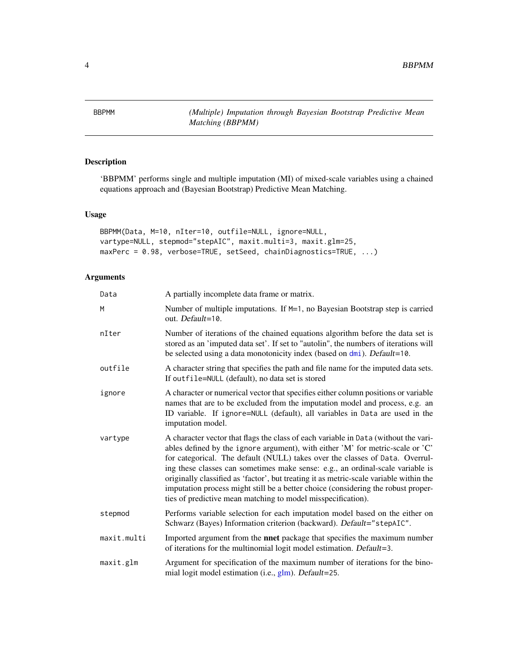<span id="page-3-0"></span>4 BBPMM

<span id="page-3-1"></span>

#### Description

'BBPMM' performs single and multiple imputation (MI) of mixed-scale variables using a chained equations approach and (Bayesian Bootstrap) Predictive Mean Matching.

#### Usage

```
BBPMM(Data, M=10, nIter=10, outfile=NULL, ignore=NULL,
vartype=NULL, stepmod="stepAIC", maxit.multi=3, maxit.glm=25,
maxPerc = 0.98, verbose=TRUE, setSeed, chainDiagnostics=TRUE, ...)
```

| Data        | A partially incomplete data frame or matrix.                                                                                                                                                                                                                                                                                                                                                                                                                                                                                                                                           |
|-------------|----------------------------------------------------------------------------------------------------------------------------------------------------------------------------------------------------------------------------------------------------------------------------------------------------------------------------------------------------------------------------------------------------------------------------------------------------------------------------------------------------------------------------------------------------------------------------------------|
| M           | Number of multiple imputations. If M=1, no Bayesian Bootstrap step is carried<br>out. Default=10.                                                                                                                                                                                                                                                                                                                                                                                                                                                                                      |
| nIter       | Number of iterations of the chained equations algorithm before the data set is<br>stored as an 'imputed data set'. If set to "autolin", the numbers of iterations will<br>be selected using a data monotonicity index (based on dmi). Default=10.                                                                                                                                                                                                                                                                                                                                      |
| outfile     | A character string that specifies the path and file name for the imputed data sets.<br>If outfile=NULL (default), no data set is stored                                                                                                                                                                                                                                                                                                                                                                                                                                                |
| ignore      | A character or numerical vector that specifies either column positions or variable<br>names that are to be excluded from the imputation model and process, e.g. an<br>ID variable. If ignore=NULL (default), all variables in Data are used in the<br>imputation model.                                                                                                                                                                                                                                                                                                                |
| vartype     | A character vector that flags the class of each variable in Data (without the vari-<br>ables defined by the ignore argument), with either 'M' for metric-scale or 'C'<br>for categorical. The default (NULL) takes over the classes of Data. Overrul-<br>ing these classes can sometimes make sense: e.g., an ordinal-scale variable is<br>originally classified as 'factor', but treating it as metric-scale variable within the<br>imputation process might still be a better choice (considering the robust proper-<br>ties of predictive mean matching to model misspecification). |
| stepmod     | Performs variable selection for each imputation model based on the either on<br>Schwarz (Bayes) Information criterion (backward). Default="stepAIC".                                                                                                                                                                                                                                                                                                                                                                                                                                   |
| maxit.multi | Imported argument from the <b>nnet</b> package that specifies the maximum number<br>of iterations for the multinomial logit model estimation. Default=3.                                                                                                                                                                                                                                                                                                                                                                                                                               |
| maxit.glm   | Argument for specification of the maximum number of iterations for the bino-<br>mial logit model estimation (i.e., glm). Default=25.                                                                                                                                                                                                                                                                                                                                                                                                                                                   |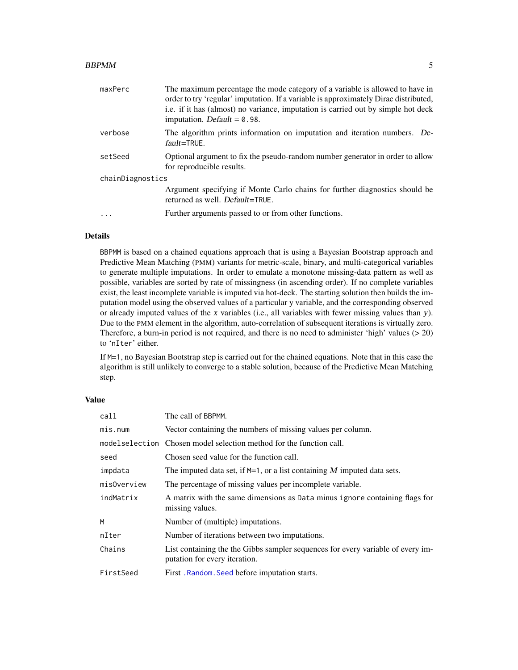#### <span id="page-4-0"></span> $BBPMM$  5

| maxPerc          | The maximum percentage the mode category of a variable is allowed to have in<br>order to try 'regular' imputation. If a variable is approximately Dirac distributed,<br>i.e. if it has (almost) no variance, imputation is carried out by simple hot deck<br>imputation. Default $= 0.98$ . |  |  |  |  |
|------------------|---------------------------------------------------------------------------------------------------------------------------------------------------------------------------------------------------------------------------------------------------------------------------------------------|--|--|--|--|
| verbose          | The algorithm prints information on imputation and iteration numbers. De-<br>$fault = TRUE$ .                                                                                                                                                                                               |  |  |  |  |
| setSeed          | Optional argument to fix the pseudo-random number generator in order to allow<br>for reproducible results.                                                                                                                                                                                  |  |  |  |  |
| chainDiagnostics |                                                                                                                                                                                                                                                                                             |  |  |  |  |
|                  | Argument specifying if Monte Carlo chains for further diagnostics should be<br>returned as well. Default=TRUE.                                                                                                                                                                              |  |  |  |  |
|                  | Further arguments passed to or from other functions.                                                                                                                                                                                                                                        |  |  |  |  |

#### Details

BBPMM is based on a chained equations approach that is using a Bayesian Bootstrap approach and Predictive Mean Matching (PMM) variants for metric-scale, binary, and multi-categorical variables to generate multiple imputations. In order to emulate a monotone missing-data pattern as well as possible, variables are sorted by rate of missingness (in ascending order). If no complete variables exist, the least incomplete variable is imputed via hot-deck. The starting solution then builds the imputation model using the observed values of a particular y variable, and the corresponding observed or already imputed values of the x variables (i.e., all variables with fewer missing values than y). Due to the PMM element in the algorithm, auto-correlation of subsequent iterations is virtually zero. Therefore, a burn-in period is not required, and there is no need to administer 'high' values  $(> 20)$ to 'nIter' either.

If M=1, no Bayesian Bootstrap step is carried out for the chained equations. Note that in this case the algorithm is still unlikely to converge to a stable solution, because of the Predictive Mean Matching step.

#### Value

| call        | The call of BBPMM.                                                                                               |
|-------------|------------------------------------------------------------------------------------------------------------------|
| mis.num     | Vector containing the numbers of missing values per column.                                                      |
|             | model selection Chosen model selection method for the function call.                                             |
| seed        | Chosen seed value for the function call.                                                                         |
| impdata     | The imputed data set, if $M=1$ , or a list containing M imputed data sets.                                       |
| misOverview | The percentage of missing values per incomplete variable.                                                        |
| indMatrix   | A matrix with the same dimensions as Data minus ignore containing flags for<br>missing values.                   |
| M           | Number of (multiple) imputations.                                                                                |
| nIter       | Number of iterations between two imputations.                                                                    |
| Chains      | List containing the the Gibbs sampler sequences for every variable of every im-<br>putation for every iteration. |
| FirstSeed   | First. Random. Seed before imputation starts.                                                                    |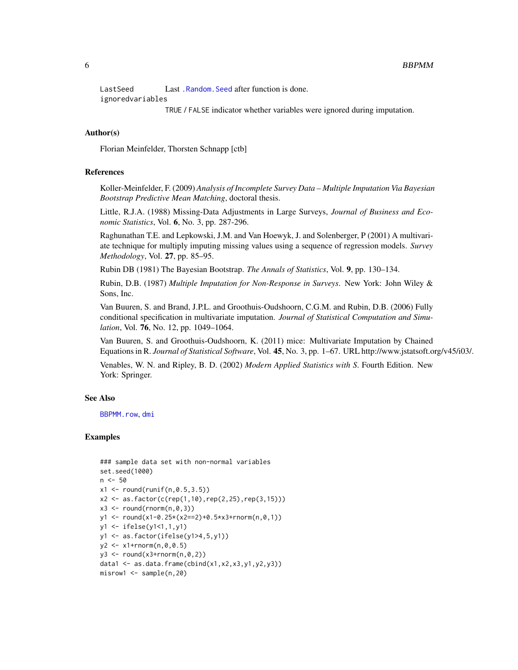<span id="page-5-0"></span>Last Seed Last .Random. Seed after function is done.

ignoredvariables

TRUE / FALSE indicator whether variables were ignored during imputation.

#### Author(s)

Florian Meinfelder, Thorsten Schnapp [ctb]

#### References

Koller-Meinfelder, F. (2009) *Analysis of Incomplete Survey Data – Multiple Imputation Via Bayesian Bootstrap Predictive Mean Matching*, doctoral thesis.

Little, R.J.A. (1988) Missing-Data Adjustments in Large Surveys, *Journal of Business and Economic Statistics*, Vol. 6, No. 3, pp. 287-296.

Raghunathan T.E. and Lepkowski, J.M. and Van Hoewyk, J. and Solenberger, P (2001) A multivariate technique for multiply imputing missing values using a sequence of regression models. *Survey Methodology*, Vol. 27, pp. 85–95.

Rubin DB (1981) The Bayesian Bootstrap. *The Annals of Statistics*, Vol. 9, pp. 130–134.

Rubin, D.B. (1987) *Multiple Imputation for Non-Response in Surveys*. New York: John Wiley & Sons, Inc.

Van Buuren, S. and Brand, J.P.L. and Groothuis-Oudshoorn, C.G.M. and Rubin, D.B. (2006) Fully conditional specification in multivariate imputation. *Journal of Statistical Computation and Simulation*, Vol. 76, No. 12, pp. 1049–1064.

Van Buuren, S. and Groothuis-Oudshoorn, K. (2011) mice: Multivariate Imputation by Chained Equations in R. *Journal of Statistical Software*, Vol. 45, No. 3, pp. 1–67. URL http://www.jstatsoft.org/v45/i03/.

Venables, W. N. and Ripley, B. D. (2002) *Modern Applied Statistics with S*. Fourth Edition. New York: Springer.

#### See Also

[BBPMM.row](#page-6-1), [dmi](#page-9-1)

```
### sample data set with non-normal variables
set.seed(1000)
n < -50x1 \le round(runif(n,0.5,3.5))
x2 \le -as.factor(c(rep(1,10),rep(2,25),rep(3,15)))x3 \le- round(rnorm(n,0,3))
y1 \leftarrow \text{round}(x1-\theta.25*(x2==2)+\theta.5*x3+\text{norm}(n,\theta,1))y1 <- ifelse(y1<1,1,y1)
y1 <- as.factor(ifelse(y1>4,5,y1))
y2 \leq x1 + \text{rnorm}(n, 0, 0.5)y3 \leftarrow \text{round}(x3+\text{rnorm}(n, \emptyset, 2))data1 <- as.data.frame(cbind(x1,x2,x3,y1,y2,y3))
misrow1 <- sample(n,20)
```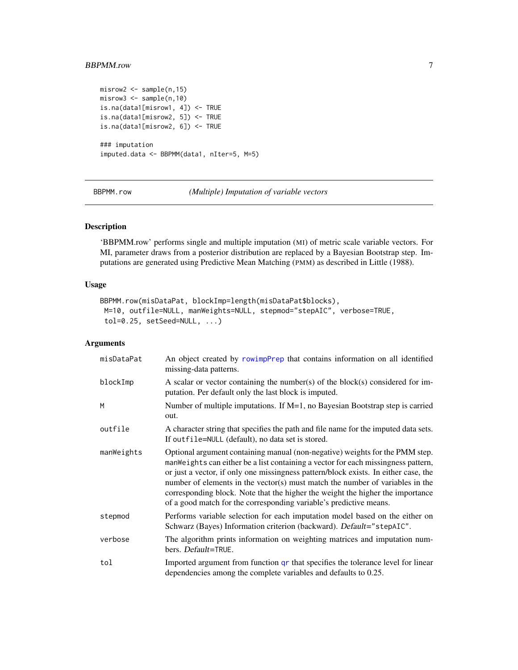#### <span id="page-6-0"></span>BBPMM.row 7

```
misrow2 <- sample(n,15)
misrow3 <- sample(n,10)
is.na(data1[misrow1, 4]) <- TRUE
is.na(data1[misrow2, 5]) <- TRUE
is.na(data1[misrow2, 6]) <- TRUE
### imputation
imputed.data <- BBPMM(data1, nIter=5, M=5)
```
<span id="page-6-1"></span>BBPMM.row *(Multiple) Imputation of variable vectors*

#### Description

'BBPMM.row' performs single and multiple imputation (MI) of metric scale variable vectors. For MI, parameter draws from a posterior distribution are replaced by a Bayesian Bootstrap step. Imputations are generated using Predictive Mean Matching (PMM) as described in Little (1988).

#### Usage

```
BBPMM.row(misDataPat, blockImp=length(misDataPat$blocks),
M=10, outfile=NULL, manWeights=NULL, stepmod="stepAIC", verbose=TRUE,
tol=0.25, setSeed=NULL, ...)
```

| misDataPat | An object created by rowimpPrep that contains information on all identified<br>missing-data patterns.                                                                                                                                                                                                                                                                                                                                                                                             |
|------------|---------------------------------------------------------------------------------------------------------------------------------------------------------------------------------------------------------------------------------------------------------------------------------------------------------------------------------------------------------------------------------------------------------------------------------------------------------------------------------------------------|
| blockImp   | A scalar or vector containing the number(s) of the block(s) considered for im-<br>putation. Per default only the last block is imputed.                                                                                                                                                                                                                                                                                                                                                           |
| M          | Number of multiple imputations. If $M=1$ , no Bayesian Bootstrap step is carried<br>out.                                                                                                                                                                                                                                                                                                                                                                                                          |
| outfile    | A character string that specifies the path and file name for the imputed data sets.<br>If outfile=NULL (default), no data set is stored.                                                                                                                                                                                                                                                                                                                                                          |
| manWeights | Optional argument containing manual (non-negative) weights for the PMM step.<br>manWeights can either be a list containing a vector for each missingness pattern,<br>or just a vector, if only one missingness pattern/block exists. In either case, the<br>number of elements in the vector(s) must match the number of variables in the<br>corresponding block. Note that the higher the weight the higher the importance<br>of a good match for the corresponding variable's predictive means. |
| stepmod    | Performs variable selection for each imputation model based on the either on<br>Schwarz (Bayes) Information criterion (backward). Default="stepAIC".                                                                                                                                                                                                                                                                                                                                              |
| verbose    | The algorithm prints information on weighting matrices and imputation num-<br>bers. Default=TRUE.                                                                                                                                                                                                                                                                                                                                                                                                 |
| tol        | Imported argument from function or that specifies the tolerance level for linear<br>dependencies among the complete variables and defaults to 0.25.                                                                                                                                                                                                                                                                                                                                               |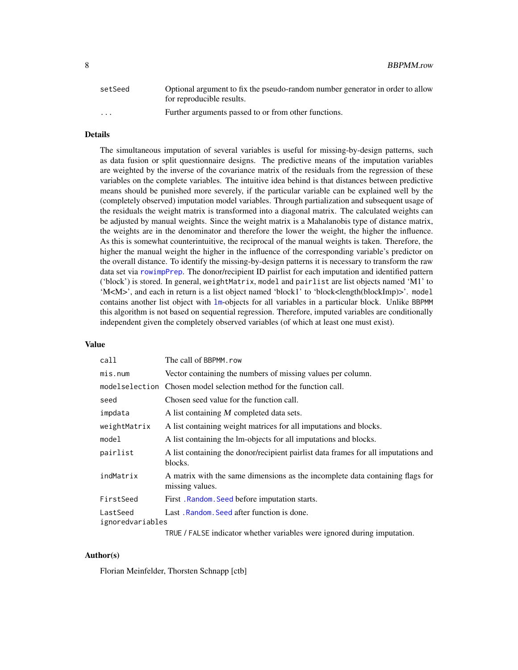<span id="page-7-0"></span>

| setSeed              | Optional argument to fix the pseudo-random number generator in order to allow<br>for reproducible results. |
|----------------------|------------------------------------------------------------------------------------------------------------|
| $\ddot{\phantom{0}}$ | Further arguments passed to or from other functions.                                                       |

#### Details

The simultaneous imputation of several variables is useful for missing-by-design patterns, such as data fusion or split questionnaire designs. The predictive means of the imputation variables are weighted by the inverse of the covariance matrix of the residuals from the regression of these variables on the complete variables. The intuitive idea behind is that distances between predictive means should be punished more severely, if the particular variable can be explained well by the (completely observed) imputation model variables. Through partialization and subsequent usage of the residuals the weight matrix is transformed into a diagonal matrix. The calculated weights can be adjusted by manual weights. Since the weight matrix is a Mahalanobis type of distance matrix, the weights are in the denominator and therefore the lower the weight, the higher the influence. As this is somewhat counterintuitive, the reciprocal of the manual weights is taken. Therefore, the higher the manual weight the higher in the influence of the corresponding variable's predictor on the overall distance. To identify the missing-by-design patterns it is necessary to transform the raw data set via [rowimpPrep](#page-16-1). The donor/recipient ID pairlist for each imputation and identified pattern ('block') is stored. In general, weightMatrix, model and pairlist are list objects named 'M1' to 'M<M>', and each in return is a list object named 'block1' to 'block<length(blockImp)>'. model contains another list object with [lm](#page-0-0)-objects for all variables in a particular block. Unlike BBPMM this algorithm is not based on sequential regression. Therefore, imputed variables are conditionally independent given the completely observed variables (of which at least one must exist).

#### Value

| call                         | The call of BBPMM.row                                                                                                                                                                                                                                                                                                                                                                                                                                        |
|------------------------------|--------------------------------------------------------------------------------------------------------------------------------------------------------------------------------------------------------------------------------------------------------------------------------------------------------------------------------------------------------------------------------------------------------------------------------------------------------------|
| mis.num                      | Vector containing the numbers of missing values per column.                                                                                                                                                                                                                                                                                                                                                                                                  |
| modelselection               | Chosen model selection method for the function call.                                                                                                                                                                                                                                                                                                                                                                                                         |
| seed                         | Chosen seed value for the function call.                                                                                                                                                                                                                                                                                                                                                                                                                     |
| impdata                      | A list containing M completed data sets.                                                                                                                                                                                                                                                                                                                                                                                                                     |
| weightMatrix                 | A list containing weight matrices for all imputations and blocks.                                                                                                                                                                                                                                                                                                                                                                                            |
| model                        | A list containing the lm-objects for all imputations and blocks.                                                                                                                                                                                                                                                                                                                                                                                             |
| pairlist                     | A list containing the donor/recipient pairlist data frames for all imputations and<br>blocks.                                                                                                                                                                                                                                                                                                                                                                |
| indMatrix                    | A matrix with the same dimensions as the incomplete data containing flags for<br>missing values.                                                                                                                                                                                                                                                                                                                                                             |
| FirstSeed                    | First. Random. Seed before imputation starts.                                                                                                                                                                                                                                                                                                                                                                                                                |
| LastSeed<br>ignoredvariables | Last. Random. Seed after function is done.                                                                                                                                                                                                                                                                                                                                                                                                                   |
|                              | $\mathcal{L} = \mathcal{L} \mathcal{L} \mathcal{L} \mathcal{L} \mathcal{L} \mathcal{L} \mathcal{L} \mathcal{L} \mathcal{L} \mathcal{L} \mathcal{L} \mathcal{L} \mathcal{L} \mathcal{L} \mathcal{L} \mathcal{L} \mathcal{L} \mathcal{L} \mathcal{L} \mathcal{L} \mathcal{L} \mathcal{L} \mathcal{L} \mathcal{L} \mathcal{L} \mathcal{L} \mathcal{L} \mathcal{L} \mathcal{L} \mathcal{L} \mathcal{L} \mathcal{L} \mathcal{L} \mathcal{L} \mathcal{L} \mathcal$ |

TRUE / FALSE indicator whether variables were ignored during imputation.

#### Author(s)

Florian Meinfelder, Thorsten Schnapp [ctb]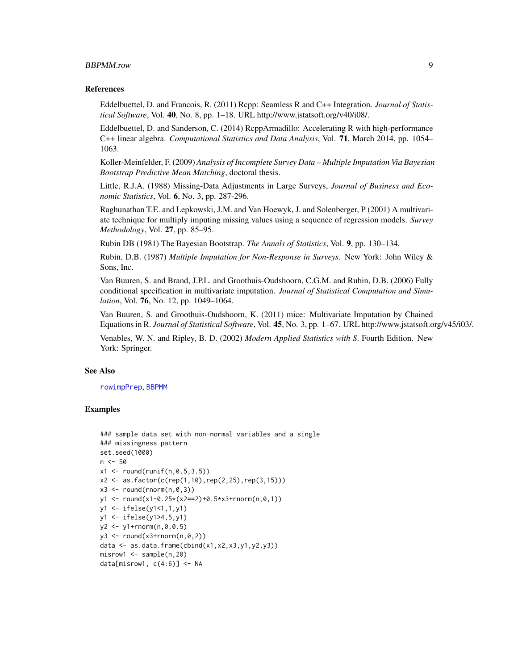#### <span id="page-8-0"></span>BBPMM.row 9

#### References

Eddelbuettel, D. and Francois, R. (2011) Rcpp: Seamless R and C++ Integration. *Journal of Statistical Software*, Vol. 40, No. 8, pp. 1–18. URL http://www.jstatsoft.org/v40/i08/.

Eddelbuettel, D. and Sanderson, C. (2014) RcppArmadillo: Accelerating R with high-performance C++ linear algebra. *Computational Statistics and Data Analysis*, Vol. 71, March 2014, pp. 1054– 1063.

Koller-Meinfelder, F. (2009) *Analysis of Incomplete Survey Data – Multiple Imputation Via Bayesian Bootstrap Predictive Mean Matching*, doctoral thesis.

Little, R.J.A. (1988) Missing-Data Adjustments in Large Surveys, *Journal of Business and Economic Statistics*, Vol. 6, No. 3, pp. 287-296.

Raghunathan T.E. and Lepkowski, J.M. and Van Hoewyk, J. and Solenberger, P (2001) A multivariate technique for multiply imputing missing values using a sequence of regression models. *Survey Methodology*, Vol. 27, pp. 85–95.

Rubin DB (1981) The Bayesian Bootstrap. *The Annals of Statistics*, Vol. 9, pp. 130–134.

Rubin, D.B. (1987) *Multiple Imputation for Non-Response in Surveys*. New York: John Wiley & Sons, Inc.

Van Buuren, S. and Brand, J.P.L. and Groothuis-Oudshoorn, C.G.M. and Rubin, D.B. (2006) Fully conditional specification in multivariate imputation. *Journal of Statistical Computation and Simulation*, Vol. 76, No. 12, pp. 1049–1064.

Van Buuren, S. and Groothuis-Oudshoorn, K. (2011) mice: Multivariate Imputation by Chained Equations in R. *Journal of Statistical Software*, Vol. 45, No. 3, pp. 1–67. URL http://www.jstatsoft.org/v45/i03/.

Venables, W. N. and Ripley, B. D. (2002) *Modern Applied Statistics with S*. Fourth Edition. New York: Springer.

#### See Also

[rowimpPrep](#page-16-1), [BBPMM](#page-3-1)

```
### sample data set with non-normal variables and a single
### missingness pattern
set.seed(1000)
n <- 50
x1 \le round(runif(n,0.5,3.5))
x2 \le -as.factor(c(rep(1,10),rep(2,25),rep(3,15)))x3 \le round(rnorm(n,0,3))
y1 \le - round(x1-0.25*(x2==2)+0.5*x3+rnorm(n,0,1))
y1 <- ifelse(y1<1,1,y1)
y1 <- ifelse(y1>4,5,y1)
y2 <- y1+rnorm(n,0,0.5)
y3 \le round(x3+rnorm(n,0,2))
data \leq as.data.frame(cbind(x1,x2,x3,y1,y2,y3))
misrow1 < - sample(n,20)data[misrow1, c(4:6)] \leftarrow NA
```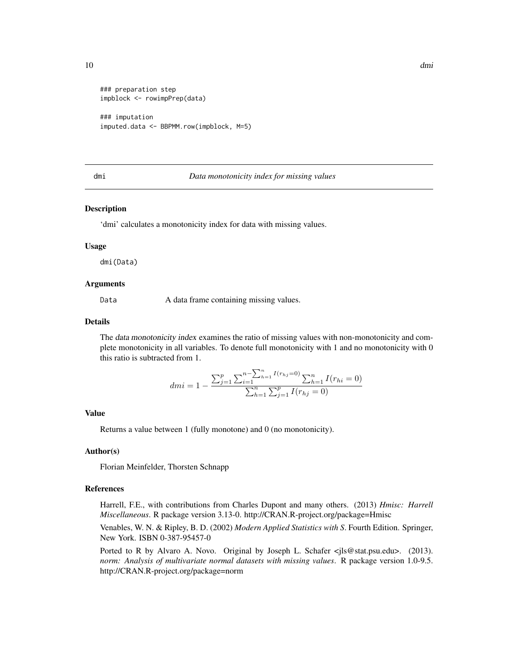```
### preparation step
impblock <- rowimpPrep(data)
### imputation
imputed.data <- BBPMM.row(impblock, M=5)
```
#### <span id="page-9-1"></span>dmi *Data monotonicity index for missing values*

#### Description

'dmi' calculates a monotonicity index for data with missing values.

#### Usage

dmi(Data)

#### Arguments

Data A data frame containing missing values.

#### Details

The data monotonicity index examines the ratio of missing values with non-monotonicity and complete monotonicity in all variables. To denote full monotonicity with 1 and no monotonicity with 0 this ratio is subtracted from 1.

$$
dmi = 1 - \frac{\sum_{j=1}^{p} \sum_{i=1}^{n-1} I(r_{hj}=0)}{\sum_{h=1}^{n} \sum_{j=1}^{p} I(r_{hj}=0)}
$$

#### Value

Returns a value between 1 (fully monotone) and 0 (no monotonicity).

#### Author(s)

Florian Meinfelder, Thorsten Schnapp

#### References

Harrell, F.E., with contributions from Charles Dupont and many others. (2013) *Hmisc: Harrell Miscellaneous*. R package version 3.13-0. http://CRAN.R-project.org/package=Hmisc

Venables, W. N. & Ripley, B. D. (2002) *Modern Applied Statistics with S*. Fourth Edition. Springer, New York. ISBN 0-387-95457-0

Ported to R by Alvaro A. Novo. Original by Joseph L. Schafer <jls@stat.psu.edu>. (2013). *norm: Analysis of multivariate normal datasets with missing values*. R package version 1.0-9.5. http://CRAN.R-project.org/package=norm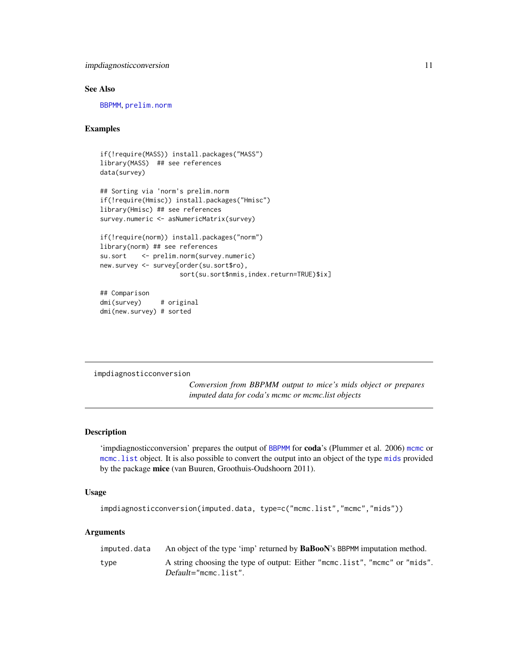#### <span id="page-10-0"></span>impdiagnosticconversion 11

#### See Also

[BBPMM](#page-3-1), [prelim.norm](#page-0-0)

#### Examples

```
if(!require(MASS)) install.packages("MASS")
library(MASS) ## see references
data(survey)
```

```
## Sorting via 'norm's prelim.norm
if(!require(Hmisc)) install.packages("Hmisc")
library(Hmisc) ## see references
survey.numeric <- asNumericMatrix(survey)
```

```
if(!require(norm)) install.packages("norm")
library(norm) ## see references
su.sort <- prelim.norm(survey.numeric)
new.survey <- survey[order(su.sort$ro),
                    sort(su.sort$nmis,index.return=TRUE)$ix]
```
## Comparison dmi(survey) # original dmi(new.survey) # sorted

impdiagnosticconversion

*Conversion from BBPMM output to mice's mids object or prepares imputed data for coda's mcmc or mcmc.list objects*

#### Description

'impdiagnosticconversion' prepares the output of [BBPMM](#page-3-1) for coda's (Plummer et al. 2006) [mcmc](#page-0-0) or mcmc. list object. It is also possible to convert the output into an object of the type [mids](#page-0-0) provided by the package mice (van Buuren, Groothuis-Oudshoorn 2011).

#### Usage

```
impdiagnosticconversion(imputed.data, type=c("mcmc.list","mcmc","mids"))
```

| imputed.data | An object of the type 'imp' returned by <b>BaBooN</b> 's BBPMM imputation method. |
|--------------|-----------------------------------------------------------------------------------|
| type         | A string choosing the type of output: Either "mcmc.list", "mcmc" or "mids".       |
|              | $Default="more.list".$                                                            |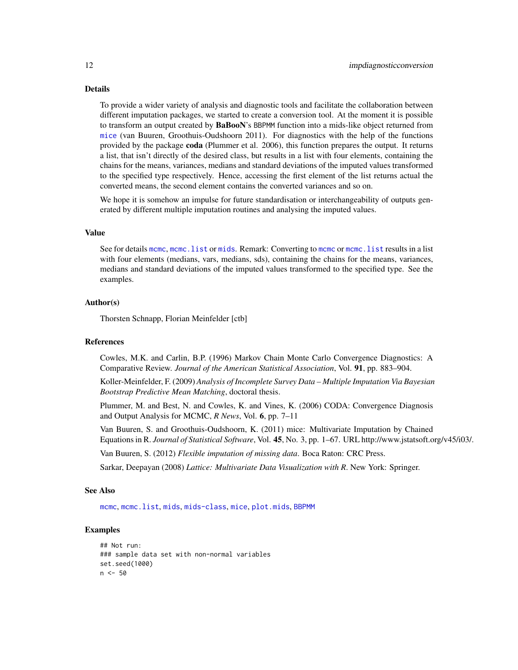#### <span id="page-11-0"></span>Details

To provide a wider variety of analysis and diagnostic tools and facilitate the collaboration between different imputation packages, we started to create a conversion tool. At the moment it is possible to transform an output created by BaBooN's BBPMM function into a mids-like object returned from [mice](#page-0-0) (van Buuren, Groothuis-Oudshoorn 2011). For diagnostics with the help of the functions provided by the package coda (Plummer et al. 2006), this function prepares the output. It returns a list, that isn't directly of the desired class, but results in a list with four elements, containing the chains for the means, variances, medians and standard deviations of the imputed values transformed to the specified type respectively. Hence, accessing the first element of the list returns actual the converted means, the second element contains the converted variances and so on.

We hope it is somehow an impulse for future standardisation or interchangeability of outputs generated by different multiple imputation routines and analysing the imputed values.

#### Value

See for details [mcmc](#page-0-0), [mcmc.list](#page-0-0) or [mids](#page-0-0). Remark: Converting to [mcmc](#page-0-0) or [mcmc.list](#page-0-0) results in a list with four elements (medians, vars, medians, sds), containing the chains for the means, variances, medians and standard deviations of the imputed values transformed to the specified type. See the examples.

#### Author(s)

Thorsten Schnapp, Florian Meinfelder [ctb]

#### References

Cowles, M.K. and Carlin, B.P. (1996) Markov Chain Monte Carlo Convergence Diagnostics: A Comparative Review. *Journal of the American Statistical Association*, Vol. 91, pp. 883–904.

Koller-Meinfelder, F. (2009) *Analysis of Incomplete Survey Data – Multiple Imputation Via Bayesian Bootstrap Predictive Mean Matching*, doctoral thesis.

Plummer, M. and Best, N. and Cowles, K. and Vines, K. (2006) CODA: Convergence Diagnosis and Output Analysis for MCMC, *R News*, Vol. 6, pp. 7–11

Van Buuren, S. and Groothuis-Oudshoorn, K. (2011) mice: Multivariate Imputation by Chained Equations in R. *Journal of Statistical Software*, Vol. 45, No. 3, pp. 1–67. URL http://www.jstatsoft.org/v45/i03/.

Van Buuren, S. (2012) *Flexible imputation of missing data*. Boca Raton: CRC Press.

Sarkar, Deepayan (2008) *Lattice: Multivariate Data Visualization with R*. New York: Springer.

#### See Also

[mcmc](#page-0-0), [mcmc.list](#page-0-0), [mids](#page-0-0), [mids-class](#page-0-0), [mice](#page-0-0), [plot.mids](#page-0-0), [BBPMM](#page-3-1)

```
## Not run:
### sample data set with non-normal variables
set.seed(1000)
n <- 50
```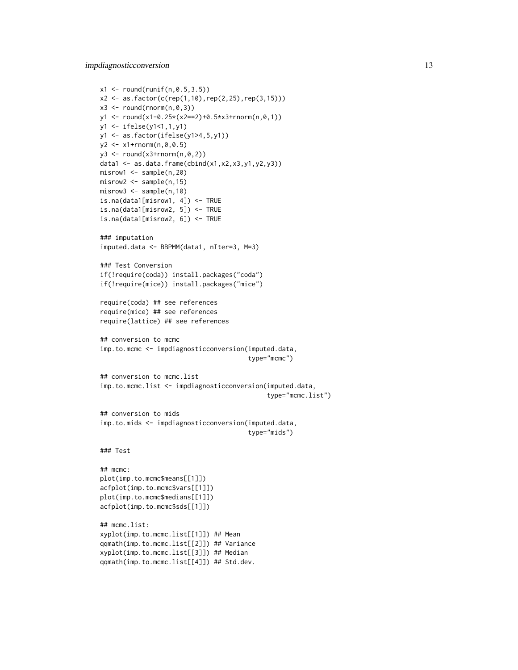impdiagnosticconversion 13

```
x1 \le round(runif(n,0.5,3.5))
x2 <- as.factor(c(rep(1,10),rep(2,25),rep(3,15)))
x3 \leftarrow \text{round}(\text{rnorm}(n, \theta, 3))y1 <- round(x1-0.25*(x2==2)+0.5*x3+rnorm(n,0,1))
y1 <- ifelse(y1<1,1,y1)
y1 <- as.factor(ifelse(y1>4,5,y1))
y2 \leq x1 + \text{rnorm}(n, 0, 0.5)y3 \leftarrow \text{round}(x3+\text{rnorm}(n, \emptyset, 2))data1 \leq as.data.frame(cbind(x1,x2,x3,y1,y2,y3))
misrow1 <- sample(n,20)
misrow2 <- sample(n,15)
misrow3 <- sample(n,10)
is.na(data1[misrow1, 4]) <- TRUE
is.na(data1[misrow2, 5]) <- TRUE
is.na(data1[misrow2, 6]) <- TRUE
### imputation
imputed.data <- BBPMM(data1, nIter=3, M=3)
### Test Conversion
if(!require(coda)) install.packages("coda")
if(!require(mice)) install.packages("mice")
require(coda) ## see references
require(mice) ## see references
require(lattice) ## see references
## conversion to mcmc
imp.to.mcmc <- impdiagnosticconversion(imputed.data,
                                         type="mcmc")
## conversion to mcmc.list
imp.to.mcmc.list <- impdiagnosticconversion(imputed.data,
                                               type="mcmc.list")
## conversion to mids
imp.to.mids <- impdiagnosticconversion(imputed.data,
                                         type="mids")
### Test
## mcmc:
plot(imp.to.mcmc$means[[1]])
acfplot(imp.to.mcmc$vars[[1]])
plot(imp.to.mcmc$medians[[1]])
acfplot(imp.to.mcmc$sds[[1]])
## mcmc.list:
xyplot(imp.to.mcmc.list[[1]]) ## Mean
qqmath(imp.to.mcmc.list[[2]]) ## Variance
xyplot(imp.to.mcmc.list[[3]]) ## Median
qqmath(imp.to.mcmc.list[[4]]) ## Std.dev.
```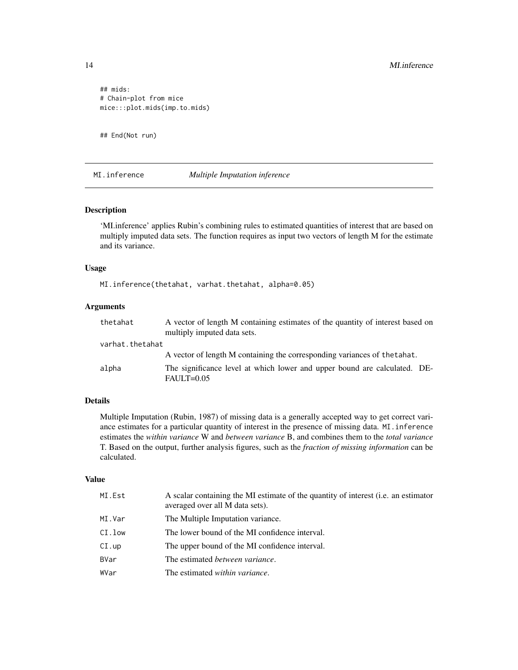## mids: # Chain-plot from mice mice:::plot.mids(imp.to.mids)

## End(Not run)

#### MI.inference *Multiple Imputation inference*

#### Description

'MI.inference' applies Rubin's combining rules to estimated quantities of interest that are based on multiply imputed data sets. The function requires as input two vectors of length M for the estimate and its variance.

#### Usage

MI.inference(thetahat, varhat.thetahat, alpha=0.05)

#### Arguments

| thetahat        | A vector of length M containing estimates of the quantity of interest based on<br>multiply imputed data sets. |
|-----------------|---------------------------------------------------------------------------------------------------------------|
| varhat.thetahat |                                                                                                               |
|                 | A vector of length M containing the corresponding variances of the tahat.                                     |
| alpha           | The significance level at which lower and upper bound are calculated. DE-<br>$FAULT=0.05$                     |

### Details

Multiple Imputation (Rubin, 1987) of missing data is a generally accepted way to get correct variance estimates for a particular quantity of interest in the presence of missing data. MI.inference estimates the *within variance* W and *between variance* B, and combines them to the *total variance* T. Based on the output, further analysis figures, such as the *fraction of missing information* can be calculated.

#### Value

| MI.Est      | A scalar containing the MI estimate of the quantity of interest (i.e. an estimator<br>averaged over all M data sets). |
|-------------|-----------------------------------------------------------------------------------------------------------------------|
| MI.Var      | The Multiple Imputation variance.                                                                                     |
| CI.low      | The lower bound of the MI confidence interval.                                                                        |
| CI.up       | The upper bound of the MI confidence interval.                                                                        |
| <b>BVar</b> | The estimated <i>between variance</i> .                                                                               |
| WVar        | The estimated <i>within variance</i> .                                                                                |

<span id="page-13-0"></span>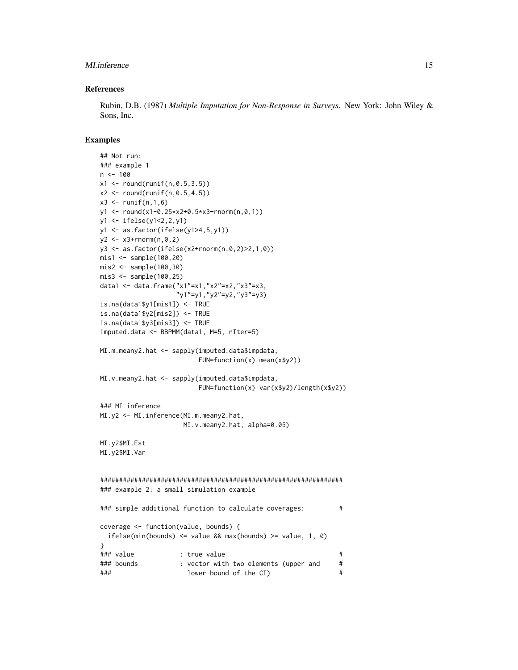#### MI.inference 15

#### References

Rubin, D.B. (1987) *Multiple Imputation for Non-Response in Surveys*. New York: John Wiley & Sons, Inc.

```
## Not run:
### example 1
n < -100x1 \le round(runif(n,0.5,3.5))
x2 \le round(runif(n,0.5,4.5))
x3 \le runif(n, 1, 6)
y1 <- round(x1-0.25*x2+0.5*x3+rnorm(n,0,1))
y1 <- ifelse(y1<2,2,y1)
y1 <- as.factor(ifelse(y1>4,5,y1))
y2 \leq x3 + \text{norm}(n, 0, 2)y3 <- as.factor(ifelse(x2+rnorm(n,0,2)>2,1,0))
mis1 <- sample(100,20)
mis2 <- sample(100,30)
mis3 <- sample(100,25)
data1 <- data.frame("x1"=x1,"x2"=x2,"x3"=x3,
                   "y1"=y1,"y2"=y2,"y3"=y3)
is.na(data1$y1[mis1]) <- TRUE
is.na(data1$y2[mis2]) <- TRUE
is.na(data1$y3[mis3]) <- TRUE
imputed.data <- BBPMM(data1, M=5, nIter=5)
MI.m.meany2.hat <- sapply(imputed.data$impdata,
                         FUN=function(x) mean(x$y2))
MI.v.meany2.hat <- sapply(imputed.data$impdata,
                         FUN=function(x) var(x$y2)/length(x$y2))
### MI inference
MI.y2 <- MI.inference(MI.m.meany2.hat,
                    MI.v.meany2.hat, alpha=0.05)
MI.y2$MI.Est
MI.y2$MI.Var
################################################################
### example 2: a small simulation example
### simple additional function to calculate coverages: #
coverage <- function(value, bounds) {
  ifelse(min(bounds) \le value && max(bounds) \ge value, 1, 0)
}
### value : true value #
### bounds : vector with two elements (upper and #
### lower bound of the CI) #
```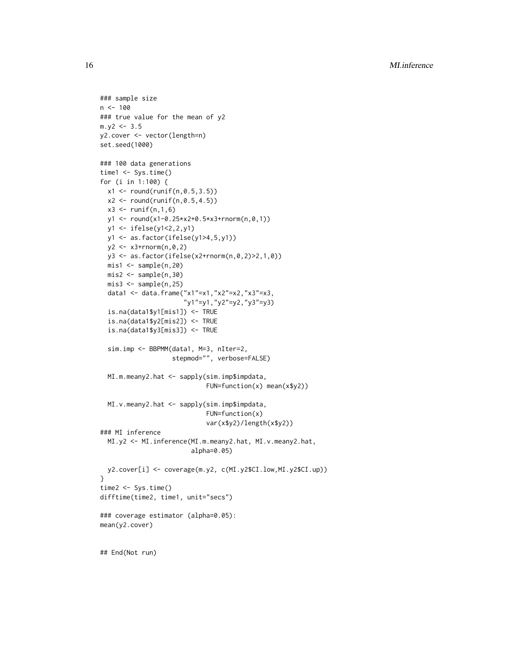```
### sample size
n < - 100### true value for the mean of y2
m.y2 \le -3.5y2.cover <- vector(length=n)
set.seed(1000)
### 100 data generations
time1 <- Sys.time()
for (i in 1:100) {
  x1 \le round(runif(n,0.5,3.5))
  x2 \le round(runif(n,0.5,4.5))
  x3 \le runif(n, 1, 6)
  y1 <- round(x1-0.25*x2+0.5*x3+rnorm(n,0,1))
  y1 <- ifelse(y1<2,2,y1)
  y1 <- as.factor(ifelse(y1>4,5,y1))
  y2 <- x3+rnorm(n,0,2)
 y3 <- as.factor(ifelse(x2+rnorm(n,0,2)>2,1,0))
  mis1 < - sample(n,20)mis2 < - sample(n,30)mis3 <- sample(n,25)
  data1 <- data.frame("x1"=x1,"x2"=x2,"x3"=x3,
                      "y1"=y1,"y2"=y2,"y3"=y3)
  is.na(data1$y1[mis1]) <- TRUE
  is.na(data1$y2[mis2]) <- TRUE
  is.na(data1$y3[mis3]) <- TRUE
  sim.imp <- BBPMM(data1, M=3, nIter=2,
                   stepmod="", verbose=FALSE)
  MI.m.meany2.hat <- sapply(sim.imp$impdata,
                            FUN=function(x) mean(x$y2))
  MI.v.meany2.hat <- sapply(sim.imp$impdata,
                            FUN=function(x)
                            var(x$y2)/length(x$y2))
### MI inference
  MI.y2 <- MI.inference(MI.m.meany2.hat, MI.v.meany2.hat,
                        alpha=0.05)
  y2.cover[i] <- coverage(m.y2, c(MI.y2$CI.low,MI.y2$CI.up))
}
time2 <- Sys.time()
difftime(time2, time1, unit="secs")
### coverage estimator (alpha=0.05):
mean(y2.cover)
## End(Not run)
```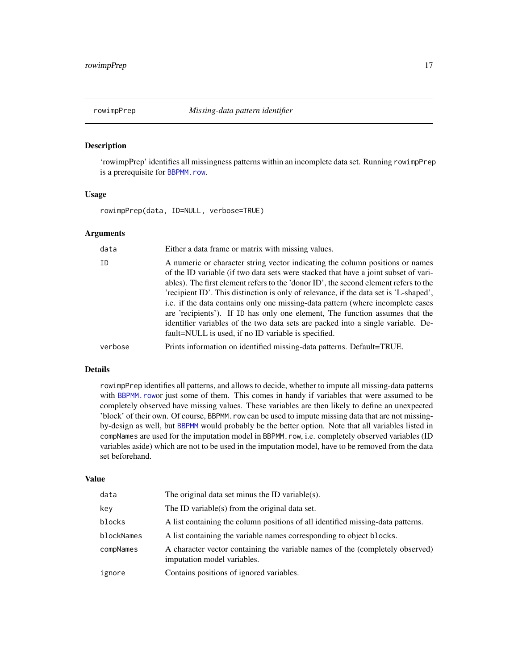<span id="page-16-1"></span><span id="page-16-0"></span>

#### Description

'rowimpPrep' identifies all missingness patterns within an incomplete data set. Running rowimpPrep is a prerequisite for [BBPMM.row](#page-6-1).

#### Usage

rowimpPrep(data, ID=NULL, verbose=TRUE)

#### Arguments

| data    | Either a data frame or matrix with missing values.                                                                                                                                                                                                                                                                                                                                                                                                                                                                                                                                                                                                                  |
|---------|---------------------------------------------------------------------------------------------------------------------------------------------------------------------------------------------------------------------------------------------------------------------------------------------------------------------------------------------------------------------------------------------------------------------------------------------------------------------------------------------------------------------------------------------------------------------------------------------------------------------------------------------------------------------|
| ΙD      | A numeric or character string vector indicating the column positions or names<br>of the ID variable (if two data sets were stacked that have a joint subset of vari-<br>ables). The first element refers to the 'donor ID', the second element refers to the<br>'recipient ID'. This distinction is only of relevance, if the data set is 'L-shaped',<br>i.e. if the data contains only one missing-data pattern (where incomplete cases<br>are 'recipients'). If ID has only one element, The function assumes that the<br>identifier variables of the two data sets are packed into a single variable. De-<br>fault=NULL is used, if no ID variable is specified. |
| verbose | Prints information on identified missing-data patterns. Default=TRUE.                                                                                                                                                                                                                                                                                                                                                                                                                                                                                                                                                                                               |

#### Details

rowimpPrep identifies all patterns, and allows to decide, whether to impute all missing-data patterns with BBPMM. rowor just some of them. This comes in handy if variables that were assumed to be completely observed have missing values. These variables are then likely to define an unexpected 'block' of their own. Of course, BBPMM. row can be used to impute missing data that are not missingby-design as well, but [BBPMM](#page-3-1) would probably be the better option. Note that all variables listed in compNames are used for the imputation model in BBPMM.row, i.e. completely observed variables (ID variables aside) which are not to be used in the imputation model, have to be removed from the data set beforehand.

#### Value

| data       | The original data set minus the ID variable $(s)$ .                                                          |
|------------|--------------------------------------------------------------------------------------------------------------|
| key        | The ID variable(s) from the original data set.                                                               |
| blocks     | A list containing the column positions of all identified missing-data patterns.                              |
| blockNames | A list containing the variable names corresponding to object blocks.                                         |
| compNames  | A character vector containing the variable names of the (completely observed)<br>imputation model variables. |
| ignore     | Contains positions of ignored variables.                                                                     |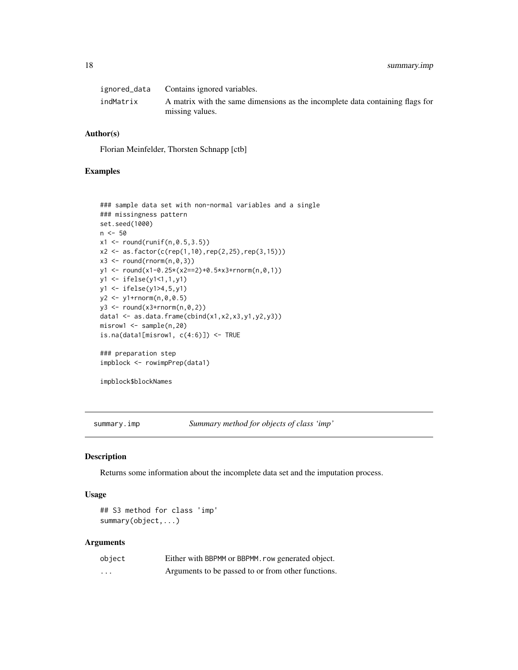<span id="page-17-0"></span>

|           | ignored_data Contains ignored variables.                                      |
|-----------|-------------------------------------------------------------------------------|
| indMatrix | A matrix with the same dimensions as the incomplete data containing flags for |
|           | missing values.                                                               |

#### Author(s)

Florian Meinfelder, Thorsten Schnapp [ctb]

#### Examples

```
### sample data set with non-normal variables and a single
### missingness pattern
set.seed(1000)
n <- 50
x1 \le round(runif(n,0.5,3.5))
x2 \le - as.factor(c(rep(1,10),rep(2,25),rep(3,15)))
x3 \leftarrow \text{round}(\text{rnorm}(n, \emptyset, 3))y1 <- round(x1-0.25*(x2==2)+0.5*x3+rnorm(n,0,1))
y1 <- ifelse(y1<1,1,y1)
y1 <- ifelse(y1>4,5,y1)
y2 <- y1+rnorm(n,0,0.5)
y3 \leftarrow \text{round}(x3+\text{rnorm}(n, \emptyset, 2))data1 <- as.data.frame(cbind(x1,x2,x3,y1,y2,y3))
misrow1 <- sample(n,20)
is.na(data1[misrow1, c(4:6)]) \leftarrow TRUE### preparation step
impblock <- rowimpPrep(data1)
```
impblock\$blockNames

summary.imp *Summary method for objects of class 'imp'*

#### Description

Returns some information about the incomplete data set and the imputation process.

#### Usage

## S3 method for class 'imp' summary(object,...)

| object | Either with BBPMM or BBPMM. row generated object.  |
|--------|----------------------------------------------------|
| .      | Arguments to be passed to or from other functions. |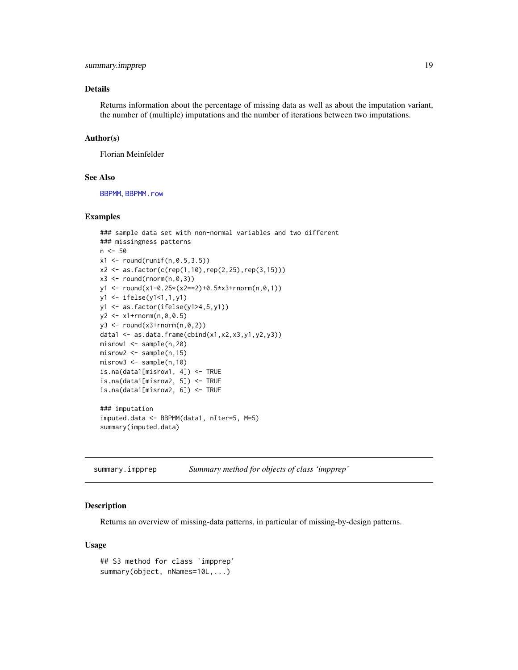#### <span id="page-18-0"></span>Details

Returns information about the percentage of missing data as well as about the imputation variant, the number of (multiple) imputations and the number of iterations between two imputations.

#### Author(s)

Florian Meinfelder

#### See Also

[BBPMM](#page-3-1), [BBPMM.row](#page-6-1)

#### Examples

```
### sample data set with non-normal variables and two different
### missingness patterns
n <- 50
x1 \leftarrow \text{round}(\text{runif}(n, 0.5, 3.5))x2 \le -as.factor(c(rep(1,10),rep(2,25),rep(3,15)))x3 \le round(rnorm(n,0,3))
y1 <- round(x1-0.25*(x2==2)+0.5*x3+rnorm(n,0,1))
y1 <- ifelse(y1<1,1,y1)
y1 <- as.factor(ifelse(y1>4,5,y1))
y2 \leq x1 + \text{rnorm}(n, 0, 0.5)y3 \leftarrow \text{round}(x3+\text{rnorm}(n, \emptyset, 2))data1 <- as.data.frame(cbind(x1,x2,x3,y1,y2,y3))
misrow1 <- sample(n,20)
misrow2 <- sample(n,15)
misrow3 <- sample(n,10)
is.na(data1[misrow1, 4]) <- TRUE
is.na(data1[misrow2, 5]) <- TRUE
is.na(data1[misrow2, 6]) <- TRUE
### imputation
imputed.data <- BBPMM(data1, nIter=5, M=5)
summary(imputed.data)
```
summary.impprep *Summary method for objects of class 'impprep'*

#### Description

Returns an overview of missing-data patterns, in particular of missing-by-design patterns.

#### Usage

```
## S3 method for class 'impprep'
summary(object, nNames=10L,...)
```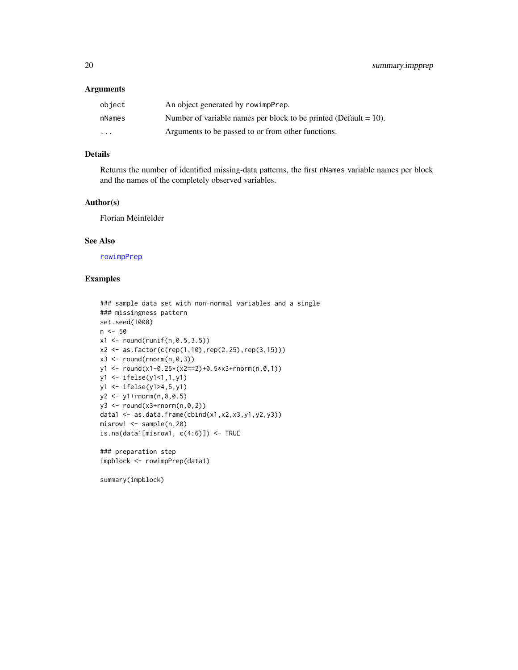#### <span id="page-19-0"></span>Arguments

| object                  | An object generated by rowimpPrep.                                  |
|-------------------------|---------------------------------------------------------------------|
| nNames                  | Number of variable names per block to be printed (Default = $10$ ). |
| $\cdot$ $\cdot$ $\cdot$ | Arguments to be passed to or from other functions.                  |

#### Details

Returns the number of identified missing-data patterns, the first nNames variable names per block and the names of the completely observed variables.

#### Author(s)

Florian Meinfelder

#### See Also

[rowimpPrep](#page-16-1)

#### Examples

```
### sample data set with non-normal variables and a single
### missingness pattern
set.seed(1000)
n <- 50
x1 \le round(runif(n,0.5,3.5))
x2 \le - as.factor(c(rep(1,10),rep(2,25),rep(3,15)))
x3 \leftarrow \text{round}(\text{rnorm}(n, \emptyset, 3))y1 <- round(x1-0.25*(x2==2)+0.5*x3+rnorm(n,0,1))
y1 <- ifelse(y1<1,1,y1)
y1 <- ifelse(y1>4,5,y1)
y2 <- y1+rnorm(n,0,0.5)
y3 \leftarrow \text{round}(x3+\text{rnorm}(n, \emptyset, 2))data1 <- as.data.frame(cbind(x1,x2,x3,y1,y2,y3))
misrow1 <- sample(n,20)
is.na(data1[misrow1, c(4:6)]) \leftarrow TRUE
```
### preparation step impblock <- rowimpPrep(data1)

summary(impblock)